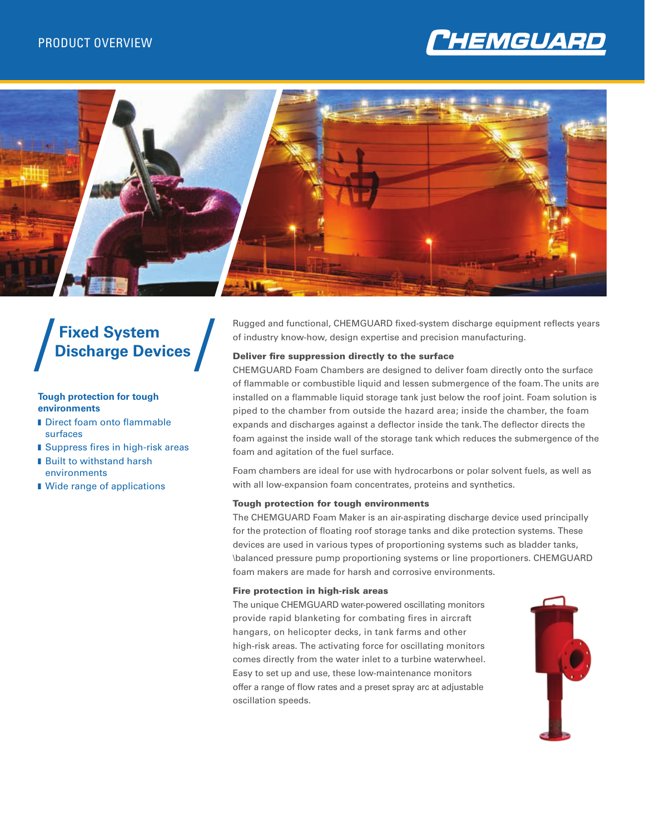



# **Fixed System Discharge Devices**

#### **Tough protection for tough environments**

- Direct foam onto flammable surfaces
- Suppress fires in high-risk areas
- **Built to withstand harsh** environments
- Wide range of applications

Rugged and functional, CHEMGUARD fixed-system discharge equipment reflects years of industry know-how, design expertise and precision manufacturing.

### Deliver fire suppression directly to the surface

CHEMGUARD Foam Chambers are designed to deliver foam directly onto the surface of flammable or combustible liquid and lessen submergence of the foam. The units are installed on a flammable liquid storage tank just below the roof joint. Foam solution is piped to the chamber from outside the hazard area; inside the chamber, the foam expands and discharges against a deflector inside the tank. The deflector directs the foam against the inside wall of the storage tank which reduces the submergence of the foam and agitation of the fuel surface.

Foam chambers are ideal for use with hydrocarbons or polar solvent fuels, as well as with all low-expansion foam concentrates, proteins and synthetics.

#### Tough protection for tough environments

The CHEMGUARD Foam Maker is an air-aspirating discharge device used principally for the protection of floating roof storage tanks and dike protection systems. These devices are used in various types of proportioning systems such as bladder tanks, \balanced pressure pump proportioning systems or line proportioners. CHEMGUARD foam makers are made for harsh and corrosive environments.

#### Fire protection in high-risk areas

The unique CHEMGUARD water-powered oscillating monitors provide rapid blanketing for combating fires in aircraft hangars, on helicopter decks, in tank farms and other high-risk areas. The activating force for oscillating monitors comes directly from the water inlet to a turbine waterwheel. Easy to set up and use, these low-maintenance monitors offer a range of flow rates and a preset spray arc at adjustable oscillation speeds.